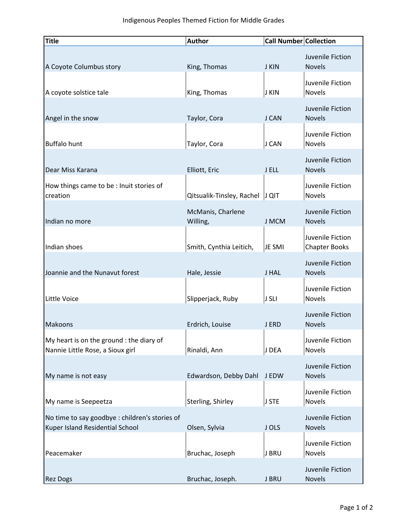| <b>Title</b>                                                                     | <b>Author</b>                 | <b>Call Number Collection</b> |                                          |
|----------------------------------------------------------------------------------|-------------------------------|-------------------------------|------------------------------------------|
| A Coyote Columbus story                                                          | King, Thomas                  | <b>J KIN</b>                  | Juvenile Fiction<br><b>Novels</b>        |
| A coyote solstice tale                                                           | King, Thomas                  | <b>J KIN</b>                  | Juvenile Fiction<br>Novels               |
| Angel in the snow                                                                | Taylor, Cora                  | J CAN                         | Juvenile Fiction<br><b>Novels</b>        |
| <b>Buffalo hunt</b>                                                              | Taylor, Cora                  | J CAN                         | Juvenile Fiction<br>Novels               |
| Dear Miss Karana                                                                 | Elliott, Eric                 | J ELL                         | Juvenile Fiction<br><b>Novels</b>        |
| How things came to be : Inuit stories of<br>creation                             | Qitsualik-Tinsley, Rachel     | $ J Q $ T                     | Juvenile Fiction<br>Novels               |
| Indian no more                                                                   | McManis, Charlene<br>Willing, | <b>J MCM</b>                  | Juvenile Fiction<br><b>Novels</b>        |
| Indian shoes                                                                     | Smith, Cynthia Leitich,       | JE SMI                        | Juvenile Fiction<br><b>Chapter Books</b> |
| Joannie and the Nunavut forest                                                   | Hale, Jessie                  | J HAL                         | Juvenile Fiction<br><b>Novels</b>        |
| Little Voice                                                                     | Slipperjack, Ruby             | J SLI                         | Juvenile Fiction<br>Novels               |
| Makoons                                                                          | Erdrich, Louise               | J ERD                         | Juvenile Fiction<br><b>Novels</b>        |
| My heart is on the ground : the diary of<br>Nannie Little Rose, a Sioux girl     | Rinaldi, Ann                  | J DEA                         | Juvenile Fiction<br>Novels               |
| My name is not easy                                                              | Edwardson, Debby Dahl         | <b>JEDW</b>                   | Juvenile Fiction<br><b>Novels</b>        |
| My name is Seepeetza                                                             | Sterling, Shirley             | J STE                         | Juvenile Fiction<br>Novels               |
| No time to say goodbye: children's stories of<br>Kuper Island Residential School | Olsen, Sylvia                 | J OLS                         | Juvenile Fiction<br><b>Novels</b>        |
| Peacemaker                                                                       | Bruchac, Joseph               | J BRU                         | Juvenile Fiction<br>Novels               |
| <b>Rez Dogs</b>                                                                  | Bruchac, Joseph.              | J BRU                         | Juvenile Fiction<br><b>Novels</b>        |